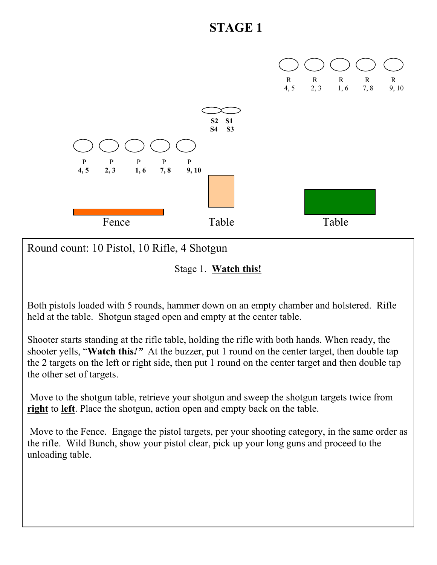

Round count: 10 Pistol, 10 Rifle, 4 Shotgun

Stage 1. **Watch this!**

Both pistols loaded with 5 rounds, hammer down on an empty chamber and holstered. Rifle held at the table. Shotgun staged open and empty at the center table.

Shooter starts standing at the rifle table, holding the rifle with both hands. When ready, the shooter yells, "**Watch this***!"* At the buzzer, put 1 round on the center target, then double tap the 2 targets on the left or right side, then put 1 round on the center target and then double tap the other set of targets.

Move to the shotgun table, retrieve your shotgun and sweep the shotgun targets twice from **right** to **left**. Place the shotgun, action open and empty back on the table.

Move to the Fence. Engage the pistol targets, per your shooting category, in the same order as the rifle. Wild Bunch, show your pistol clear, pick up your long guns and proceed to the unloading table.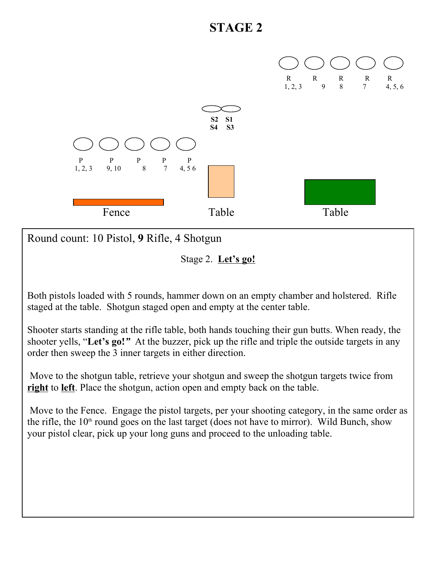

Round count: 10 Pistol, **9** Rifle, 4 Shotgun

Stage 2. **Let's go!**

Both pistols loaded with 5 rounds, hammer down on an empty chamber and holstered. Rifle staged at the table. Shotgun staged open and empty at the center table.

Shooter starts standing at the rifle table, both hands touching their gun butts. When ready, the shooter yells, "**Let's go!***"* At the buzzer, pick up the rifle and triple the outside targets in any order then sweep the 3 inner targets in either direction.

 Move to the shotgun table, retrieve your shotgun and sweep the shotgun targets twice from **right** to **left**. Place the shotgun, action open and empty back on the table.

 Move to the Fence. Engage the pistol targets, per your shooting category, in the same order as the rifle, the  $10<sup>th</sup>$  round goes on the last target (does not have to mirror). Wild Bunch, show your pistol clear, pick up your long guns and proceed to the unloading table.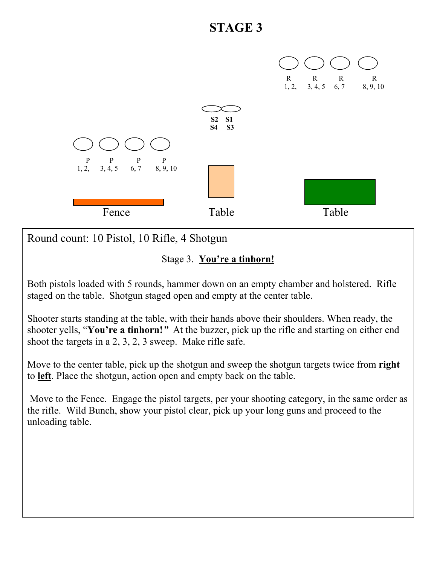

Round count: 10 Pistol, 10 Rifle, 4 Shotgun

#### Stage 3. **You're a tinhorn!**

Both pistols loaded with 5 rounds, hammer down on an empty chamber and holstered. Rifle staged on the table. Shotgun staged open and empty at the center table.

Shooter starts standing at the table, with their hands above their shoulders. When ready, the shooter yells, "**You're a tinhorn!***"* At the buzzer, pick up the rifle and starting on either end shoot the targets in a 2, 3, 2, 3 sweep. Make rifle safe.

Move to the center table, pick up the shotgun and sweep the shotgun targets twice from **right** to **left**. Place the shotgun, action open and empty back on the table.

 Move to the Fence. Engage the pistol targets, per your shooting category, in the same order as the rifle. Wild Bunch, show your pistol clear, pick up your long guns and proceed to the unloading table.